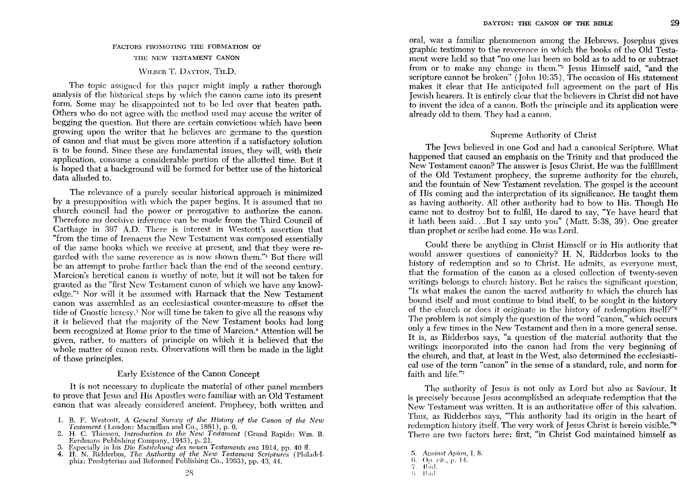# FACTORS PROMOTING THE FORMATION OF THE NEW TESTAMENT CANON WILBER T. DAYTON, TH.D.

The topic assigned for this paper might imply a rather thorough analysis of the historical steps by which the canon came into its present form. Some may be disappointed not to be led over that beaten path. Others who do not agree with the method used may accuse the writer of begging the question. But there are certain convictions which have been growing upon the writer that he believes are germane to the question of canon and that must be given more attention if a satisfactory solution is to be found. Since these are fundamental issues, they will, with their application, consume a considerable portion of the allotted time. But it is hoped that a background will be formed for better use of the historical data alluded to.

The relevance of a purely secular historical approach is minimized by a presupposition with which the paper begins. It is assumed that no church council had the power or prerogative to authorize the canon. Therefore no decisive inference can be made from the Third Council of Carthage in 397 A.D. There is interest in \Vestcott's assertion that "from the time of Irenaeus the New Testament was composed essentially of the same books which we receive at present, and that they were regarded with the same reverence as is now shown them."! But there will be an attempt to probe farther back than the end of the second century. Marcion's heretical canon is worthy of note, but it will not be taken for granted as the "first New Testament canon of which we have any knowledge."2 Nor will it be assumed with Harnack that the New Testament canon was assembled as an ecclesiastical counter-measure to offset the tide of Gnostic heresy.3 Nor will time be taken to give all the reasons why it is believed that the majority of the New Testament books had long been recognized at Rome prior to the time of Marcion.<sup>4</sup> Attention will be given, rather, to matters of principle on which it is believed that the whole matter of canon rests. Observations will then be made in the light of those principles.

#### Early Existence of the Canon Concept

It is not necessary to duplicate the material of other panel members to prove that Jesus and His Apostles were familiar with an Old Testament canon that was already considered ancient. Prophecy, both written and

- 1. B. F. Westcott, A *General Survey of the History of the Canon of the New Testament* (London: Macmillan and Co., 1881), p. 6.
- 2. H. C. Thiessen, *Introduction to the New Testament* (Grand Rapids: \Vm. B. Eerdmans Publishing Company, 1943), p. 21.
- 3. Especially in his *Die Entstehung des neuen Testaments enz* 1914, pp. 40 IT. 4. H. N. Ridderbos, *The Authority of the New Testament Scriptures* (Philadel-
- phia: Presbyterian and Heformed Publishing Co., 1963), pp. 43, 44.

oral, was a familiar phenomenon among the Hebrews. Josephus gives graphic testimony to the reverence in which the books of the Old Testament were held so that "no one has been so bold as to add to or subtract from or to make any change in them."<sup>5</sup> Jesus Himself said, "and the scripture cannot be broken" (John 10:35). The occasion of His statement makes it clear that He anticipated full agreement on the part of His Jewish hearers. It is entirely clear that the believers in Christ did not have to invent the idea of a canon. Both the principle and its application were already old to them. They had a canon.

### Supreme Authority of Christ

The Jews believed in one God and had a canonical Scripture. What happened that caused an emphasis on the Trinity and that produced the New Testament canon? The answer is Jesus Christ. He was the fulfillment of the Old Testament prophecy, the supreme authority for the church, and the fountain of New Testament revelation. The gospel is the account of His coming and the interpretation of its significance. He taught them as having authority. All other authority had to bow to His. Though He came not to destroy but to fulfil, He dared to say, "Ye have heard that it hath been said ... But I say unto you" (Matt. 5:38, 39). One greater than prophet or scribe had come. He was Lord.

Could there be anything in Christ Himself or in His authority that would answer questions of canonicity? H. N. Ridderbos looks to the history of redemption and so to Christ. He admits, as everyone must, that the formation of the canon as a closed collection of twenty-seven writings belongs to church history. But he raises the significant question, "Is what makes the canon the sacred authority to which the church has bound itself and must continue to bind itself, to be sought in the history of the church or does it originate in the history of redemption itself?"<sup>6</sup> The problem is not simply the question of the word "canon," which occurs only a few times in the New Testament and then in a more general sense. It is, as Ridderbos says, "a question of the material authority that the writings incorporated into the canon had from the very beginning of the church, and that, at least in the West, also determined the ecclesiastical use of the term "canon" in the sense of a standard, rule, and norm for faith and life."7

The authority of Jesus is not only as Lord but also as Saviour. It is precisely because Jesus accomplished an adequate redemption that the New Testament was written. It is an authoritative offer of this salvation. Thus, as Ridderbos says, "This authority had its origin in the heart of redemption history itself. The very work of Jesus Christ is herein visible."<sup>8</sup> There are two factors here: first, "in Christ God maintained himself as

;,. *Against Arion,* I, 8. 6. Op. cit., p. 14. 7. II)id. ,{'; **I!lid**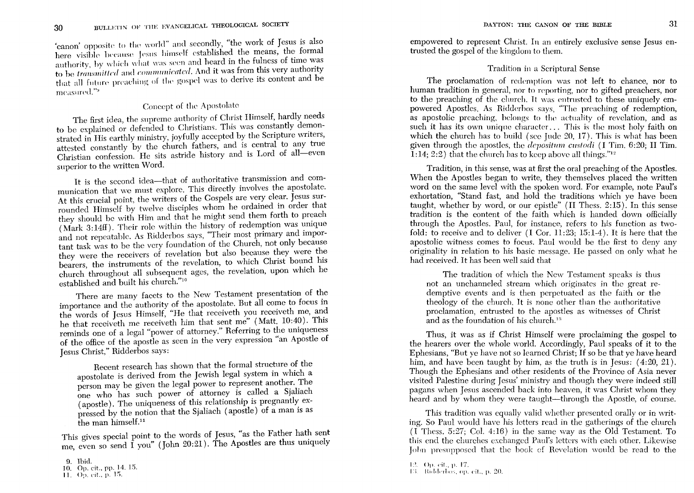'canon' opposite to the world" and secondly, "the work of Jesus is also here visible because Jesus himself established the means, the formal authority, by which what was seen and heard in the fulness of time was to be *transmitted* and *communicated*. And it was from this very authority that all future preaching of the gospel was to derive its content and be measured."<sup>9</sup>

## Concept of the Apostolate

The first idea, the supreme authority of Christ Himself, hardly needs to be explained or defended to Christians. This was constantly demonstrated in His earthly ministry, joyfully accepted by the Scripture writers, attested constantly by the church fathers, and is central to any true Christian confession. He sits astride history and is Lord of all-even superior to the written Word.

It is the second idea---that of authoritative transmission and communication that we must explore. This directly involves the apostolate. At this crucial point, the writers of the Gospels are very clear. Jesus surrounded Himself by twelve disciples whom he ordained in order that they should be with Him and that he might send them forth to preach (Mark 3:14ff). Their role within the history of redemption was unique and not repeatable. As Ridderbos says, "Their most primary and important task was to be the very foundation of the Church, not only because they were the receivers of revelation but also because they were the bearers, the instruments of the revelation, to which Christ bound his church throughout all subsequent ages, the revelation, upon which he established and built his church."10

There are many facets to the New Testament presentation of the importance and the authority of the apostolate. But all come to focus in the words of Jesus Himself, "He that receiveth you receiveth me, and he that receiveth me receiveth him that sent me" (Matt. 10:40). This reminds one of a legal "power of attorney." Referring to the uniqueness of the office of the apostle as seen in the very expression "an Apostle of Jesus Christ," Ridderbos says:

Recent research has shown that the formal structure of the apostolate is derived from the Jewish legal system in which a person may be given the legal power to represent another. The one who has such power of attorney is called a Sjaliach (apostle). The uniqueness of this relationship is pregnantly expressed by the notion that the Sjaliach (apostle) of a man is as the man himself.<sup>11</sup>

This gives special point to the words of Jesus, "as the Father hath sent me, even so send  $\hat{I}$  you" (John 20:21). The Apostles are thus uniquely

empowered to represent Christ. In an entirely exclusive sense Jesus entrusted the gospel of the kingdom to them.

### Tradition in a Scriptural Sense

The proclamation of redemption was not left to chance, nor to human tradition in general, nor to reporting, nor to gifted preachers, nor to the preaching of the church. It was entrusted to these uniquely empowered Apostles. As Ridderbos says, "The preaching of redemption, as apostolic preaching, belongs to the actuality of revelation, and as such it has its own unique character... This is the most holy faith on which the church has to build (see Jude 20, 17). This is what has been given through the apostles, the *depositum custodi*  $(1 \text{ Tim. } 6:20; \text{ II Tim. })$  $\tilde{1}:14:2:2$ ) that the church has to keep above all things."<sup>12</sup>

Tradition, in this sense, was at first the oral preaching of the Apostles. When the Apostles began to write, they themselves placed the written word on the same level with the spoken word. For example, note Paul's exhortation. "Stand fast, and hold the traditions which ve have been taught, whether by word, or our epistle" (II Thess, 2:15). In this sense tradition is the content of the faith which is handed down officially through the Apostles. Paul, for instance, refers to his function as twofold: to receive and to deliver (I Cor. 11:23; 15:1-4). It is here that the apostolic witness comes to focus. Paul would be the first to deny any originality in relation to his basic message. He passed on only what he had received. It has been well said that

The tradition of which the New Testament speaks is thus not an unchanneled stream which originates in the great redemptive events and is then perpetuated as the faith or the theology of the church. It is none other than the authoritative proclamation, entrusted to the apostles as witnesses of Christ and as the foundation of his church.<sup>13</sup>

Thus, it was as if Christ Himself were proclaiming the gospel to the hearers over the whole world. Accordingly, Paul speaks of it to the Ephesians, "But ye have not so learned Christ; If so be that ye have heard him, and have been taught by him, as the truth is in Jesus:  $(4:20, 21)$ . Though the Ephesians and other residents of the Province of Asia never visited Palestine during Jesus' ministry and though they were indeed still pagans when Jesus ascended back into heaven, it was Christ whom they heard and by whom they were taught—through the Apostle, of course.

This tradition was equally valid whether presented orally or in writing. So Paul would have his letters read in the gatherings of the church  $(I$  Thess, 5:27; Col. 4:16) in the same way as the Old Testament. To this end the churches exchanged Paul's letters with each other. Likewise John presupposed that the book of Revelation would be read to the

<sup>9.</sup> Ibid. 10. Op. cit., pp. 14. 15.

<sup>11.</sup> Op. cit., p. 15.

<sup>12.</sup> Op. cit., p. 17.

<sup>13.</sup> Ridderbos, op. cit., p. 20.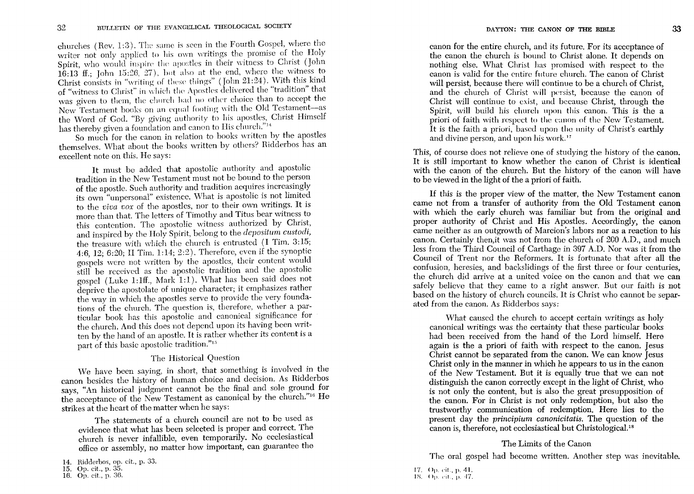churches (Rev. 1:3). The same is seen in the Fourth Gospel, where the writer not only applied to his own writings the promise of the Holy Spirit, who would inspire the apostles in their witness to Christ (John 16:13 ff.; John 15:26, 27), but also at the end, where the witness to Christ consists in "writing of these things" (John  $21:24$ ). With this kind of "witness to Christ" in which the Apostles delivered the "tradition" that was given to them, the church had no other choice than to accept the New Testament books on an equal footing with the Old Testament-as the Word of God. "By giving authority to his apostles, Christ Himself has thereby given a foundation and canon to His church."14

So much for the canon in relation to books written by the apostles themselves. What about the books written by others? Ridderbos has an excellent note on this. He says:

It must be added that apostolic authority and apostolic tradition in the New Testament must not be bound to the person of the apostle. Such authority and tradition acquires increasingly its own "unpersonal" existence. What is apostolic is not limited to the *viva vox* of the apostles, nor to their own writings. It is more than that. The letters of Timothy and Titus bear witness to this contention. The apostolic witness authorized by Christ, and inspired by the Holy Spirit, belong to the *depositum custodi,*  the treasure with which the church is entrusted (I Tim. 3:15; 4:6,12; 6:20; II Tim. 1:14; 2:2). Therefore, even if the synoptic gospels were not written by the apostles, their content would still be received as the apostolic tradition and the apostolic gospel (Luke 1:1ff., Mark 1:1). What has been said does not deprive the apostolate of unique character; it emphasizes rather the way in which the apostles serve to provide the very foundations of the church. The question is, therefore, whether a particular book has this apostolic and canonical significance for the church. And this does not depend upon its having been written by the hand of an apostle. It is rather whether its content is a part of this basic apostolic tradition."<sup>15</sup>

## The Historical Question

vVe have been saying, in short, that something is involved in the canon besides the history of human choice and decision. As Ridderbos says, "An historical judgment cannot be the final and sole ground for the acceptance of the New Testament as canonical by the church."16 He strikes at the heart of the matter when he says:

The statements of a church council are not to be used as evidence that what has been selected is proper and correct. The church is never infallible, even temporarily. No ecelesiastical office or assembly, no matter how important, can guarantee the canon for the entire church, and its future. For its acceptance of the canon the church is bound to Christ alone. It depends on nothmg else. What Christ has promised with respect to the canon is valid for the entire future church. The canon of Christ will persist, because there will continue to be a church of Christ, and the church of Christ will persist, because the canon of Christ will continue to exist, and because Christ, through the Spirit, will build his church upon this canon. This is the a priori of faith with respect to the canon of the New Testament. It is the faith a priori, based upon the unity of Christ's earthly and divine person, and upon his work.<sup>17</sup>

This, of course does not relieve one of studying the history of the canon. It is still important to know whether the canon of Christ is identical with the canon of the church. But the history of the canon will have to be viewed in the light of the a priori of faith.

If this is the proper view of the matter, the New Testament canon came not from a transfer of authority from the Old Testament canon with which the early church was familiar but from the original and proper authority of Christ and His Apostles. Accordingly, the canon came neither as an outgrowth of Marcion's labors nor as a reaction to his canon. Certainly then,it was not from the church of 200 A.D., and much less from the Third Council of Carthage in 397 A.D. Nor was it from the Council of Trent nor the Reformers. It is fortunate that after all the confusion, heresies, and baekslidings of the first three or four centuries, the church did arrive at a united voice on the canon and that we can safely believe that they came to a right answer. But our faith is not based on the history of church councils. It is Christ who cannot be separated from the canon. As Ridderbos says:

What caused the church to accept certain writings as holy canonical writings was the certainty that these particular books had been received from the hand of the Lord himself. Here again is the a priori of faith with respect to the canon. Jesus Christ cannot be separated from the canon. We can know Jesus Christ only in the manner in which he appears to us in the canon of the New Testament. But it is equally true that we can not distinguish the canon correctly except in the light of Christ, who is not only the content, but is also the great presupposition of the canon. For in Christ is not only redemption, but also the trustworthy communication of redemption. Here lies to the present day the *principium canonicitatis.* The question of the canon is, therefore, not ecclesiastical but Christological.<sup>18</sup>

#### The Limits of the Canon

The oral gospel had become written. Another step was inevitable.

<sup>14.</sup> Ridderbos, op. cit., p. 33.

<sup>15.</sup> Op. cit., p. 35.

<sup>16.</sup> Op. cit., p. 36.

<sup>17.</sup> Op. cit., p. 41.

<sup>18.</sup> Op. cit., p. 47.